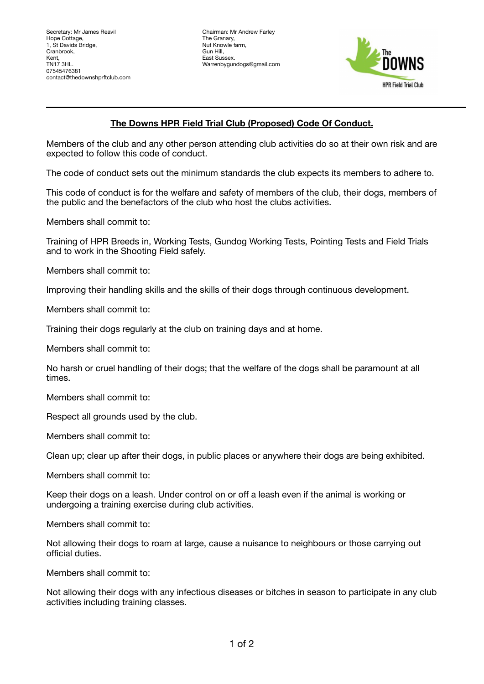Chairman: Mr Andrew Farley The Granary, Nut Knowle farm, Gun Hill, East Sussex. Warrenbygundogs@gmail.com



## **The Downs HPR Field Trial Club (Proposed) Code Of Conduct.**

Members of the club and any other person attending club activities do so at their own risk and are expected to follow this code of conduct.

The code of conduct sets out the minimum standards the club expects its members to adhere to.

This code of conduct is for the welfare and safety of members of the club, their dogs, members of the public and the benefactors of the club who host the clubs activities.

Members shall commit to:

Training of HPR Breeds in, Working Tests, Gundog Working Tests, Pointing Tests and Field Trials and to work in the Shooting Field safely.

Members shall commit to:

Improving their handling skills and the skills of their dogs through continuous development.

Members shall commit to:

Training their dogs regularly at the club on training days and at home.

Members shall commit to:

No harsh or cruel handling of their dogs; that the welfare of the dogs shall be paramount at all times.

Members shall commit to:

Respect all grounds used by the club.

Members shall commit to:

Clean up; clear up after their dogs, in public places or anywhere their dogs are being exhibited.

Members shall commit to:

Keep their dogs on a leash. Under control on or off a leash even if the animal is working or undergoing a training exercise during club activities.

Members shall commit to:

Not allowing their dogs to roam at large, cause a nuisance to neighbours or those carrying out official duties.

Members shall commit to:

Not allowing their dogs with any infectious diseases or bitches in season to participate in any club activities including training classes.